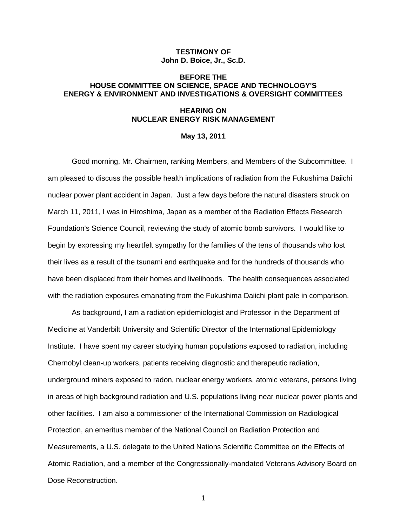# **TESTIMONY OF John D. Boice, Jr., Sc.D.**

# **BEFORE THE HOUSE COMMITTEE ON SCIENCE, SPACE AND TECHNOLOGY'S ENERGY & ENVIRONMENT AND INVESTIGATIONS & OVERSIGHT COMMITTEES**

### **HEARING ON NUCLEAR ENERGY RISK MANAGEMENT**

### **May 13, 2011**

Good morning, Mr. Chairmen, ranking Members, and Members of the Subcommittee. I am pleased to discuss the possible health implications of radiation from the Fukushima Daiichi nuclear power plant accident in Japan. Just a few days before the natural disasters struck on March 11, 2011, I was in Hiroshima, Japan as a member of the Radiation Effects Research Foundation's Science Council, reviewing the study of atomic bomb survivors. I would like to begin by expressing my heartfelt sympathy for the families of the tens of thousands who lost their lives as a result of the tsunami and earthquake and for the hundreds of thousands who have been displaced from their homes and livelihoods. The health consequences associated with the radiation exposures emanating from the Fukushima Daiichi plant pale in comparison.

As background, I am a radiation epidemiologist and Professor in the Department of Medicine at Vanderbilt University and Scientific Director of the International Epidemiology Institute. I have spent my career studying human populations exposed to radiation, including Chernobyl clean-up workers, patients receiving diagnostic and therapeutic radiation, underground miners exposed to radon, nuclear energy workers, atomic veterans, persons living in areas of high background radiation and U.S. populations living near nuclear power plants and other facilities. I am also a commissioner of the International Commission on Radiological Protection, an emeritus member of the National Council on Radiation Protection and Measurements, a U.S. delegate to the United Nations Scientific Committee on the Effects of Atomic Radiation, and a member of the Congressionally-mandated Veterans Advisory Board on Dose Reconstruction.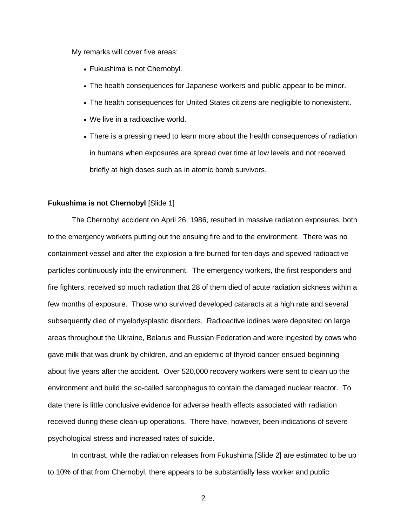My remarks will cover five areas:

- Fukushima is not Chernobyl.
- The health consequences for Japanese workers and public appear to be minor.
- The health consequences for United States citizens are negligible to nonexistent.
- We live in a radioactive world.
- There is a pressing need to learn more about the health consequences of radiation in humans when exposures are spread over time at low levels and not received briefly at high doses such as in atomic bomb survivors.

### **Fukushima is not Chernobyl** [Slide 1]

The Chernobyl accident on April 26, 1986, resulted in massive radiation exposures, both to the emergency workers putting out the ensuing fire and to the environment. There was no containment vessel and after the explosion a fire burned for ten days and spewed radioactive particles continuously into the environment. The emergency workers, the first responders and fire fighters, received so much radiation that 28 of them died of acute radiation sickness within a few months of exposure. Those who survived developed cataracts at a high rate and several subsequently died of myelodysplastic disorders. Radioactive iodines were deposited on large areas throughout the Ukraine, Belarus and Russian Federation and were ingested by cows who gave milk that was drunk by children, and an epidemic of thyroid cancer ensued beginning about five years after the accident. Over 520,000 recovery workers were sent to clean up the environment and build the so-called sarcophagus to contain the damaged nuclear reactor. To date there is little conclusive evidence for adverse health effects associated with radiation received during these clean-up operations. There have, however, been indications of severe psychological stress and increased rates of suicide.

In contrast, while the radiation releases from Fukushima [Slide 2] are estimated to be up to 10% of that from Chernobyl, there appears to be substantially less worker and public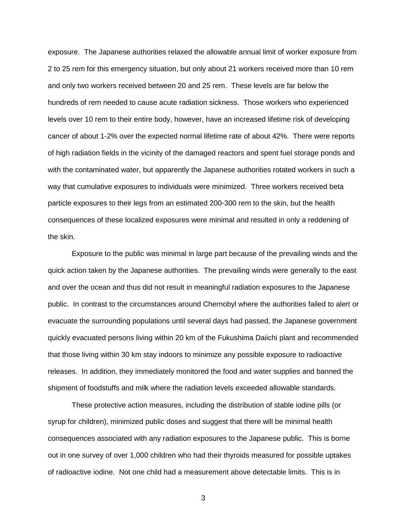exposure. The Japanese authorities relaxed the allowable annual limit of worker exposure from 2 to 25 rem for this emergency situation, but only about 21 workers received more than 10 rem and only two workers received between 20 and 25 rem. These levels are far below the hundreds of rem needed to cause acute radiation sickness. Those workers who experienced levels over 10 rem to their entire body, however, have an increased lifetime risk of developing cancer of about 1-2% over the expected normal lifetime rate of about 42%. There were reports of high radiation fields in the vicinity of the damaged reactors and spent fuel storage ponds and with the contaminated water, but apparently the Japanese authorities rotated workers in such a way that cumulative exposures to individuals were minimized. Three workers received beta particle exposures to their legs from an estimated 200-300 rem to the skin, but the health consequences of these localized exposures were minimal and resulted in only a reddening of the skin.

Exposure to the public was minimal in large part because of the prevailing winds and the quick action taken by the Japanese authorities. The prevailing winds were generally to the east and over the ocean and thus did not result in meaningful radiation exposures to the Japanese public. In contrast to the circumstances around Chernobyl where the authorities failed to alert or evacuate the surrounding populations until several days had passed, the Japanese government quickly evacuated persons living within 20 km of the Fukushima Daiichi plant and recommended that those living within 30 km stay indoors to minimize any possible exposure to radioactive releases. In addition, they immediately monitored the food and water supplies and banned the shipment of foodstuffs and milk where the radiation levels exceeded allowable standards.

These protective action measures, including the distribution of stable iodine pills (or syrup for children), minimized public doses and suggest that there will be minimal health consequences associated with any radiation exposures to the Japanese public. This is borne out in one survey of over 1,000 children who had their thyroids measured for possible uptakes of radioactive iodine. Not one child had a measurement above detectable limits. This is in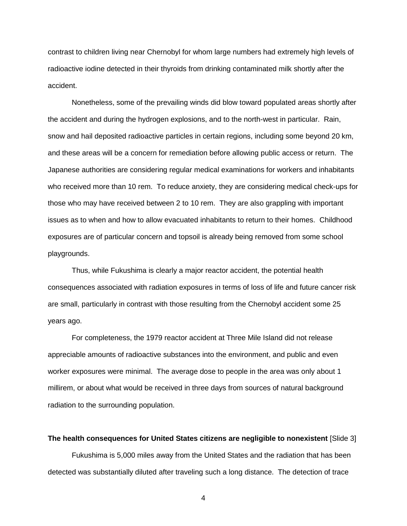contrast to children living near Chernobyl for whom large numbers had extremely high levels of radioactive iodine detected in their thyroids from drinking contaminated milk shortly after the accident.

Nonetheless, some of the prevailing winds did blow toward populated areas shortly after the accident and during the hydrogen explosions, and to the north-west in particular. Rain, snow and hail deposited radioactive particles in certain regions, including some beyond 20 km, and these areas will be a concern for remediation before allowing public access or return. The Japanese authorities are considering regular medical examinations for workers and inhabitants who received more than 10 rem. To reduce anxiety, they are considering medical check-ups for those who may have received between 2 to 10 rem. They are also grappling with important issues as to when and how to allow evacuated inhabitants to return to their homes. Childhood exposures are of particular concern and topsoil is already being removed from some school playgrounds.

Thus, while Fukushima is clearly a major reactor accident, the potential health consequences associated with radiation exposures in terms of loss of life and future cancer risk are small, particularly in contrast with those resulting from the Chernobyl accident some 25 years ago.

For completeness, the 1979 reactor accident at Three Mile Island did not release appreciable amounts of radioactive substances into the environment, and public and even worker exposures were minimal. The average dose to people in the area was only about 1 millirem, or about what would be received in three days from sources of natural background radiation to the surrounding population.

**The health consequences for United States citizens are negligible to nonexistent** [Slide 3]

Fukushima is 5,000 miles away from the United States and the radiation that has been detected was substantially diluted after traveling such a long distance. The detection of trace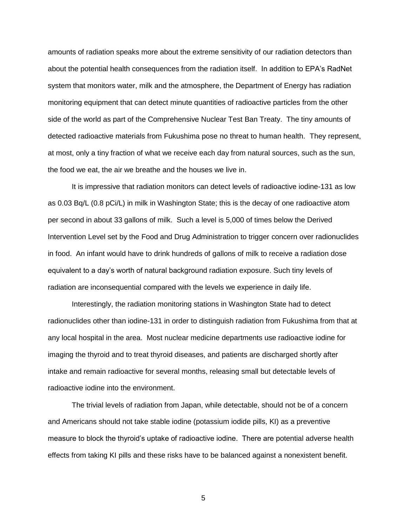amounts of radiation speaks more about the extreme sensitivity of our radiation detectors than about the potential health consequences from the radiation itself. In addition to EPA's RadNet system that monitors water, milk and the atmosphere, the Department of Energy has radiation monitoring equipment that can detect minute quantities of radioactive particles from the other side of the world as part of the Comprehensive Nuclear Test Ban Treaty. The tiny amounts of detected radioactive materials from Fukushima pose no threat to human health. They represent, at most, only a tiny fraction of what we receive each day from natural sources, such as the sun, the food we eat, the air we breathe and the houses we live in.

It is impressive that radiation monitors can detect levels of radioactive iodine-131 as low as 0.03 Bq/L (0.8 pCi/L) in milk in Washington State; this is the decay of one radioactive atom per second in about 33 gallons of milk. Such a level is 5,000 of times below the Derived Intervention Level set by the Food and Drug Administration to trigger concern over radionuclides in food. An infant would have to drink hundreds of gallons of milk to receive a radiation dose equivalent to a day's worth of natural background radiation exposure. Such tiny levels of radiation are inconsequential compared with the levels we experience in daily life.

Interestingly, the radiation monitoring stations in Washington State had to detect radionuclides other than iodine-131 in order to distinguish radiation from Fukushima from that at any local hospital in the area. Most nuclear medicine departments use radioactive iodine for imaging the thyroid and to treat thyroid diseases, and patients are discharged shortly after intake and remain radioactive for several months, releasing small but detectable levels of radioactive iodine into the environment.

The trivial levels of radiation from Japan, while detectable, should not be of a concern and Americans should not take stable iodine (potassium iodide pills, KI) as a preventive measure to block the thyroid's uptake of radioactive iodine. There are potential adverse health effects from taking KI pills and these risks have to be balanced against a nonexistent benefit.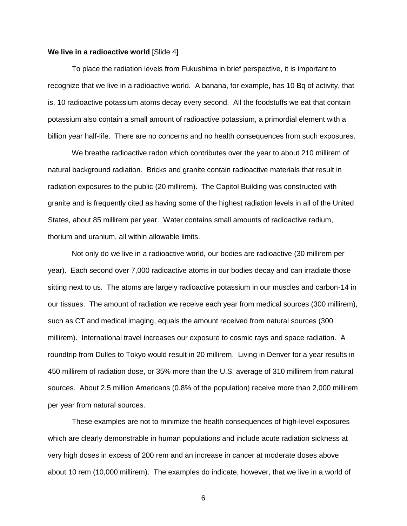### **We live in a radioactive world** [Slide 4]

To place the radiation levels from Fukushima in brief perspective, it is important to recognize that we live in a radioactive world. A banana, for example, has 10 Bq of activity, that is, 10 radioactive potassium atoms decay every second. All the foodstuffs we eat that contain potassium also contain a small amount of radioactive potassium, a primordial element with a billion year half-life. There are no concerns and no health consequences from such exposures.

We breathe radioactive radon which contributes over the year to about 210 millirem of natural background radiation. Bricks and granite contain radioactive materials that result in radiation exposures to the public (20 millirem). The Capitol Building was constructed with granite and is frequently cited as having some of the highest radiation levels in all of the United States, about 85 millirem per year. Water contains small amounts of radioactive radium, thorium and uranium, all within allowable limits.

Not only do we live in a radioactive world, our bodies are radioactive (30 millirem per year). Each second over 7,000 radioactive atoms in our bodies decay and can irradiate those sitting next to us. The atoms are largely radioactive potassium in our muscles and carbon-14 in our tissues. The amount of radiation we receive each year from medical sources (300 millirem), such as CT and medical imaging, equals the amount received from natural sources (300 millirem). International travel increases our exposure to cosmic rays and space radiation. A roundtrip from Dulles to Tokyo would result in 20 millirem. Living in Denver for a year results in 450 millirem of radiation dose, or 35% more than the U.S. average of 310 millirem from natural sources. About 2.5 million Americans (0.8% of the population) receive more than 2,000 millirem per year from natural sources.

These examples are not to minimize the health consequences of high-level exposures which are clearly demonstrable in human populations and include acute radiation sickness at very high doses in excess of 200 rem and an increase in cancer at moderate doses above about 10 rem (10,000 millirem). The examples do indicate, however, that we live in a world of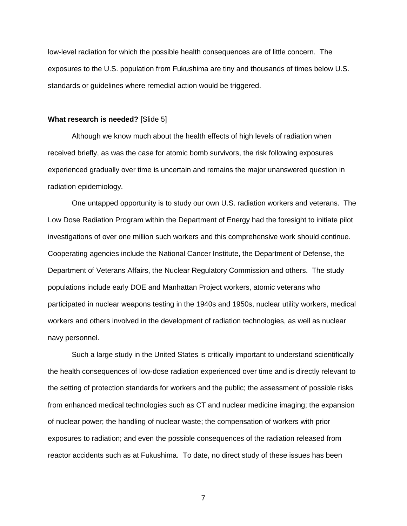low-level radiation for which the possible health consequences are of little concern. The exposures to the U.S. population from Fukushima are tiny and thousands of times below U.S. standards or guidelines where remedial action would be triggered.

#### **What research is needed?** [Slide 5]

Although we know much about the health effects of high levels of radiation when received briefly, as was the case for atomic bomb survivors, the risk following exposures experienced gradually over time is uncertain and remains the major unanswered question in radiation epidemiology.

One untapped opportunity is to study our own U.S. radiation workers and veterans. The Low Dose Radiation Program within the Department of Energy had the foresight to initiate pilot investigations of over one million such workers and this comprehensive work should continue. Cooperating agencies include the National Cancer Institute, the Department of Defense, the Department of Veterans Affairs, the Nuclear Regulatory Commission and others. The study populations include early DOE and Manhattan Project workers, atomic veterans who participated in nuclear weapons testing in the 1940s and 1950s, nuclear utility workers, medical workers and others involved in the development of radiation technologies, as well as nuclear navy personnel.

Such a large study in the United States is critically important to understand scientifically the health consequences of low-dose radiation experienced over time and is directly relevant to the setting of protection standards for workers and the public; the assessment of possible risks from enhanced medical technologies such as CT and nuclear medicine imaging; the expansion of nuclear power; the handling of nuclear waste; the compensation of workers with prior exposures to radiation; and even the possible consequences of the radiation released from reactor accidents such as at Fukushima. To date, no direct study of these issues has been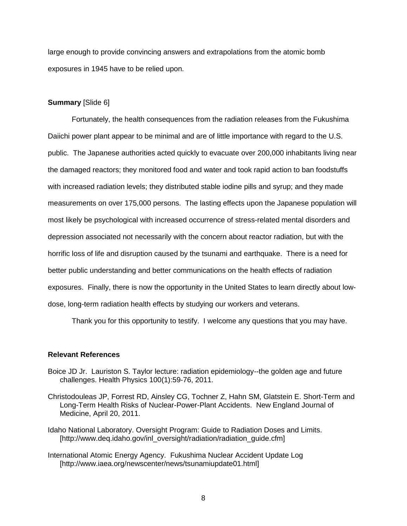large enough to provide convincing answers and extrapolations from the atomic bomb exposures in 1945 have to be relied upon.

# **Summary** [Slide 6]

Fortunately, the health consequences from the radiation releases from the Fukushima Daiichi power plant appear to be minimal and are of little importance with regard to the U.S. public. The Japanese authorities acted quickly to evacuate over 200,000 inhabitants living near the damaged reactors; they monitored food and water and took rapid action to ban foodstuffs with increased radiation levels; they distributed stable iodine pills and syrup; and they made measurements on over 175,000 persons. The lasting effects upon the Japanese population will most likely be psychological with increased occurrence of stress-related mental disorders and depression associated not necessarily with the concern about reactor radiation, but with the horrific loss of life and disruption caused by the tsunami and earthquake. There is a need for better public understanding and better communications on the health effects of radiation exposures. Finally, there is now the opportunity in the United States to learn directly about lowdose, long-term radiation health effects by studying our workers and veterans.

Thank you for this opportunity to testify. I welcome any questions that you may have.

## **Relevant References**

- Boice JD Jr. Lauriston S. Taylor lecture: radiation epidemiology--the golden age and future challenges. Health Physics 100(1):59-76, 2011.
- Christodouleas JP, Forrest RD, Ainsley CG, Tochner Z, Hahn SM, Glatstein E. Short-Term and Long-Term Health Risks of Nuclear-Power-Plant Accidents. New England Journal of Medicine, April 20, 2011.
- Idaho National Laboratory. Oversight Program: Guide to Radiation Doses and Limits. [http://www.deq.idaho.gov/inl\_oversight/radiation/radiation\_guide.cfm]
- International Atomic Energy Agency. Fukushima Nuclear Accident Update Log [http://www.iaea.org/newscenter/news/tsunamiupdate01.html]